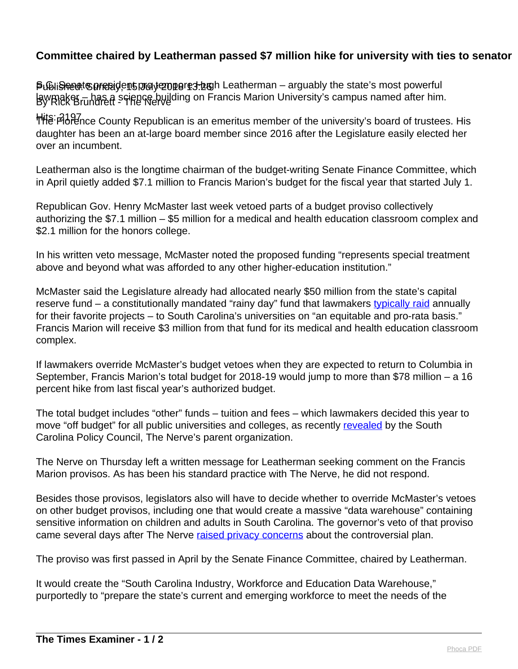## **Committee chaired by Leatherman passed \$7 million hike for university with ties to senator**

**ទិ**ഡിരിക്കുന്നു are betwordent prodent product the state and the state and the state's most powerful lawmaker – has a science building on Francis Marion University's campus named after him.<br>By Rick Brundrett - frie Nerve

Hits: 2197 The Florence County Republican is an emeritus member of the university's board of trustees. His daughter has been an at-large board member since 2016 after the Legislature easily elected her over an incumbent.

Leatherman also is the longtime chairman of the budget-writing Senate Finance Committee, which in April quietly added \$7.1 million to Francis Marion's budget for the fiscal year that started July 1.

Republican Gov. Henry McMaster last week vetoed parts of a budget proviso collectively authorizing the \$7.1 million – \$5 million for a medical and health education classroom complex and \$2.1 million for the honors college.

In his written veto message, McMaster noted the proposed funding "represents special treatment above and beyond what was afforded to any other higher-education institution."

McMaster said the Legislature already had allocated nearly \$50 million from the state's capital reserve fund – a constitutionally mandated "rainy day" fund that lawmakers [typically raid](https://thenerve.org/capital-reserve-fund-or-legislative-slush-fund/) annually for their favorite projects – to South Carolina's universities on "an equitable and pro-rata basis." Francis Marion will receive \$3 million from that fund for its medical and health education classroom complex.

If lawmakers override McMaster's budget vetoes when they are expected to return to Columbia in September, Francis Marion's total budget for 2018-19 would jump to more than \$78 million – a 16 percent hike from last fiscal year's authorized budget.

The total budget includes "other" funds – tuition and fees – which lawmakers decided this year to move "off budget" for all public universities and colleges, as recently [revealed](https://www.scpolicycouncil.org/featured/lawmakers-move-3-7-billion-off-budget) by the South Carolina Policy Council, The Nerve's parent organization.

The Nerve on Thursday left a written message for Leatherman seeking comment on the Francis Marion provisos. As has been his standard practice with The Nerve, he did not respond.

Besides those provisos, legislators also will have to decide whether to override McMaster's vetoes on other budget provisos, including one that would create a massive "data warehouse" containing sensitive information on children and adults in South Carolina. The governor's veto of that proviso came several days after The Nerve [raised privacy concerns](https://thenerve.org/how-s-c-lawmakers-might-have-access-to-your-private-information/) about the controversial plan.

The proviso was first passed in April by the Senate Finance Committee, chaired by Leatherman.

It would create the "South Carolina Industry, Workforce and Education Data Warehouse," purportedly to "prepare the state's current and emerging workforce to meet the needs of the